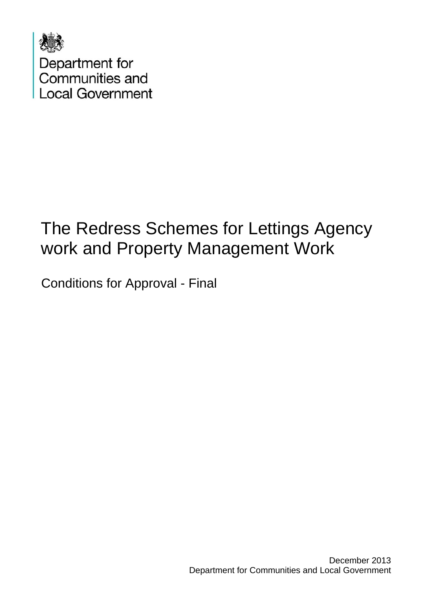

Department for<br>Communities and **Local Government** 

## The Redress Schemes for Lettings Agency work and Property Management Work

Conditions for Approval - Final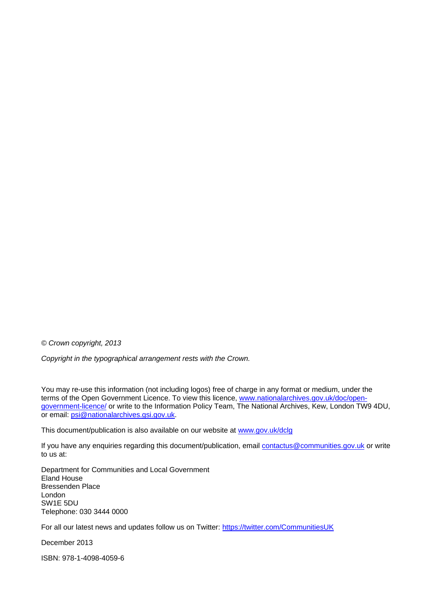*© Crown copyright, 2013* 

*Copyright in the typographical arrangement rests with the Crown.* 

You may re-use this information (not including logos) free of charge in any format or medium, under the terms of the Open Government Licence. To view this licence, [www.nationalarchives.gov.uk/doc/open](http://www.nationalarchives.gov.uk/doc/open-government-licence/)[government-licence/](http://www.nationalarchives.gov.uk/doc/open-government-licence/) or write to the Information Policy Team, The National Archives, Kew, London TW9 4DU, or email: [psi@nationalarchives.gsi.gov.uk.](mailto:psi@nationalarchives.gsi.gov.uk)

This document/publication is also available on our website at [www.gov.uk/dclg](http://www.gov.uk/dclg)

If you have any enquiries regarding this document/publication, email [contactus@communities.gov.uk](mailto:contactus@communities.gsi.gov.uk) or write to us at:

Department for Communities and Local Government Eland House Bressenden Place London SW1E 5DU Telephone: 030 3444 0000

For all our latest news and updates follow us on Twitter: https://twitter.com/CommunitiesUK

December 2013

ISBN: 978-1-4098-4059-6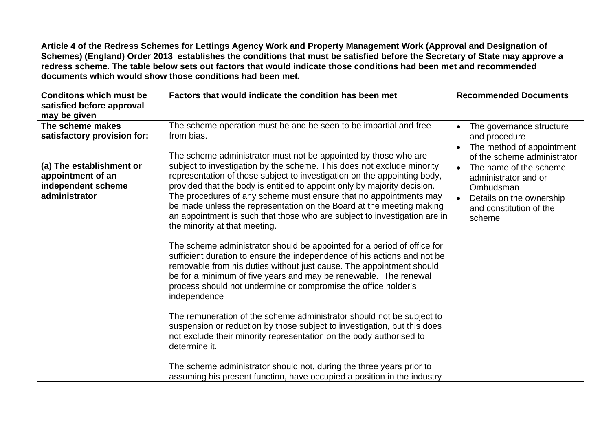**Article 4 of the Redress Schemes for Lettings Agency Work and Property Management Work (Approval and Designation of Schemes) (England) Order 2013 establishes the conditions that must be satisfied before the Secretary of State may approve a redress scheme. The table below sets out factors that would indicate those conditions had been met and recommended documents which would show those conditions had been met.** 

| <b>Conditons which must be</b><br>satisfied before approval<br>may be given                                                             | Factors that would indicate the condition has been met                                                                                                                                                                                                                                                                                                                                                                                                                                                                                                                                                                                                                                                                                                                                                                                                                                                                                                                                                                                                                                                                                                                                                                                                                                                                                                    | <b>Recommended Documents</b>                                                                                                                                                                                                                                    |
|-----------------------------------------------------------------------------------------------------------------------------------------|-----------------------------------------------------------------------------------------------------------------------------------------------------------------------------------------------------------------------------------------------------------------------------------------------------------------------------------------------------------------------------------------------------------------------------------------------------------------------------------------------------------------------------------------------------------------------------------------------------------------------------------------------------------------------------------------------------------------------------------------------------------------------------------------------------------------------------------------------------------------------------------------------------------------------------------------------------------------------------------------------------------------------------------------------------------------------------------------------------------------------------------------------------------------------------------------------------------------------------------------------------------------------------------------------------------------------------------------------------------|-----------------------------------------------------------------------------------------------------------------------------------------------------------------------------------------------------------------------------------------------------------------|
| The scheme makes<br>satisfactory provision for:<br>(a) The establishment or<br>appointment of an<br>independent scheme<br>administrator | The scheme operation must be and be seen to be impartial and free<br>from bias.<br>The scheme administrator must not be appointed by those who are<br>subject to investigation by the scheme. This does not exclude minority<br>representation of those subject to investigation on the appointing body,<br>provided that the body is entitled to appoint only by majority decision.<br>The procedures of any scheme must ensure that no appointments may<br>be made unless the representation on the Board at the meeting making<br>an appointment is such that those who are subject to investigation are in<br>the minority at that meeting.<br>The scheme administrator should be appointed for a period of office for<br>sufficient duration to ensure the independence of his actions and not be<br>removable from his duties without just cause. The appointment should<br>be for a minimum of five years and may be renewable. The renewal<br>process should not undermine or compromise the office holder's<br>independence<br>The remuneration of the scheme administrator should not be subject to<br>suspension or reduction by those subject to investigation, but this does<br>not exclude their minority representation on the body authorised to<br>determine it.<br>The scheme administrator should not, during the three years prior to | The governance structure<br>$\bullet$<br>and procedure<br>The method of appointment<br>of the scheme administrator<br>The name of the scheme<br>$\bullet$<br>administrator and or<br>Ombudsman<br>Details on the ownership<br>and constitution of the<br>scheme |
|                                                                                                                                         | assuming his present function, have occupied a position in the industry                                                                                                                                                                                                                                                                                                                                                                                                                                                                                                                                                                                                                                                                                                                                                                                                                                                                                                                                                                                                                                                                                                                                                                                                                                                                                   |                                                                                                                                                                                                                                                                 |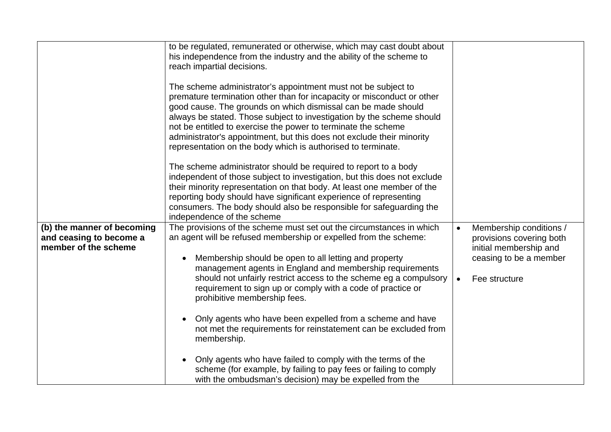|                                                                               | to be regulated, remunerated or otherwise, which may cast doubt about<br>his independence from the industry and the ability of the scheme to<br>reach impartial decisions.<br>The scheme administrator's appointment must not be subject to<br>premature termination other than for incapacity or misconduct or other<br>good cause. The grounds on which dismissal can be made should<br>always be stated. Those subject to investigation by the scheme should<br>not be entitled to exercise the power to terminate the scheme<br>administrator's appointment, but this does not exclude their minority<br>representation on the body which is authorised to terminate.<br>The scheme administrator should be required to report to a body<br>independent of those subject to investigation, but this does not exclude<br>their minority representation on that body. At least one member of the<br>reporting body should have significant experience of representing<br>consumers. The body should also be responsible for safeguarding the<br>independence of the scheme |                        |                                                                                                                          |
|-------------------------------------------------------------------------------|------------------------------------------------------------------------------------------------------------------------------------------------------------------------------------------------------------------------------------------------------------------------------------------------------------------------------------------------------------------------------------------------------------------------------------------------------------------------------------------------------------------------------------------------------------------------------------------------------------------------------------------------------------------------------------------------------------------------------------------------------------------------------------------------------------------------------------------------------------------------------------------------------------------------------------------------------------------------------------------------------------------------------------------------------------------------------|------------------------|--------------------------------------------------------------------------------------------------------------------------|
| (b) the manner of becoming<br>and ceasing to become a<br>member of the scheme | The provisions of the scheme must set out the circumstances in which<br>an agent will be refused membership or expelled from the scheme:<br>Membership should be open to all letting and property<br>management agents in England and membership requirements<br>should not unfairly restrict access to the scheme eg a compulsory<br>requirement to sign up or comply with a code of practice or<br>prohibitive membership fees.<br>Only agents who have been expelled from a scheme and have<br>not met the requirements for reinstatement can be excluded from<br>membership.<br>Only agents who have failed to comply with the terms of the<br>scheme (for example, by failing to pay fees or failing to comply<br>with the ombudsman's decision) may be expelled from the                                                                                                                                                                                                                                                                                               | $\bullet$<br>$\bullet$ | Membership conditions /<br>provisions covering both<br>initial membership and<br>ceasing to be a member<br>Fee structure |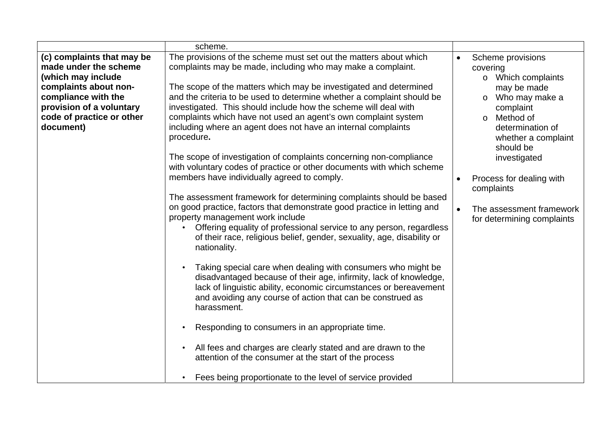|                                                                                                                                                                                                 | scheme.                                                                                                                                                                                                                                                                                                                                                                                                                                                                                             |           |                                                                                                                                                                                     |
|-------------------------------------------------------------------------------------------------------------------------------------------------------------------------------------------------|-----------------------------------------------------------------------------------------------------------------------------------------------------------------------------------------------------------------------------------------------------------------------------------------------------------------------------------------------------------------------------------------------------------------------------------------------------------------------------------------------------|-----------|-------------------------------------------------------------------------------------------------------------------------------------------------------------------------------------|
| (c) complaints that may be<br>made under the scheme<br>(which may include<br>complaints about non-<br>compliance with the<br>provision of a voluntary<br>code of practice or other<br>document) | The provisions of the scheme must set out the matters about which<br>complaints may be made, including who may make a complaint.<br>The scope of the matters which may be investigated and determined<br>and the criteria to be used to determine whether a complaint should be<br>investigated. This should include how the scheme will deal with<br>complaints which have not used an agent's own complaint system<br>including where an agent does not have an internal complaints<br>procedure. |           | Scheme provisions<br>covering<br>o Which complaints<br>may be made<br>Who may make a<br>$\circ$<br>complaint<br>o Method of<br>determination of<br>whether a complaint<br>should be |
|                                                                                                                                                                                                 | The scope of investigation of complaints concerning non-compliance<br>with voluntary codes of practice or other documents with which scheme<br>members have individually agreed to comply.                                                                                                                                                                                                                                                                                                          | $\bullet$ | investigated<br>Process for dealing with<br>complaints                                                                                                                              |
|                                                                                                                                                                                                 | The assessment framework for determining complaints should be based<br>on good practice, factors that demonstrate good practice in letting and<br>property management work include<br>Offering equality of professional service to any person, regardless<br>of their race, religious belief, gender, sexuality, age, disability or<br>nationality.                                                                                                                                                 | $\bullet$ | The assessment framework<br>for determining complaints                                                                                                                              |
|                                                                                                                                                                                                 | Taking special care when dealing with consumers who might be<br>disadvantaged because of their age, infirmity, lack of knowledge,<br>lack of linguistic ability, economic circumstances or bereavement<br>and avoiding any course of action that can be construed as<br>harassment.                                                                                                                                                                                                                 |           |                                                                                                                                                                                     |
|                                                                                                                                                                                                 | Responding to consumers in an appropriate time.                                                                                                                                                                                                                                                                                                                                                                                                                                                     |           |                                                                                                                                                                                     |
|                                                                                                                                                                                                 | All fees and charges are clearly stated and are drawn to the<br>attention of the consumer at the start of the process                                                                                                                                                                                                                                                                                                                                                                               |           |                                                                                                                                                                                     |
|                                                                                                                                                                                                 | Fees being proportionate to the level of service provided                                                                                                                                                                                                                                                                                                                                                                                                                                           |           |                                                                                                                                                                                     |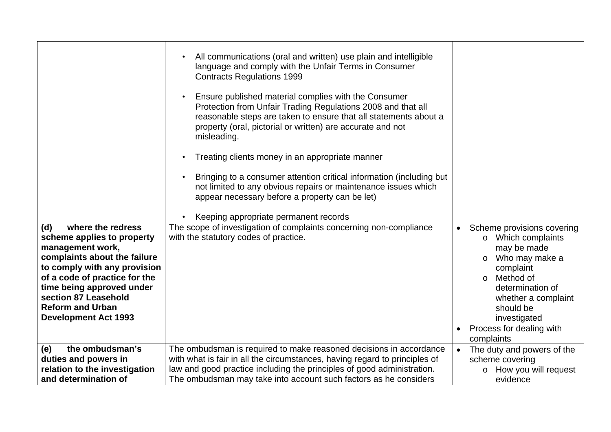|                                                              | All communications (oral and written) use plain and intelligible<br>language and comply with the Unfair Terms in Consumer<br><b>Contracts Regulations 1999</b><br>Ensure published material complies with the Consumer<br>Protection from Unfair Trading Regulations 2008 and that all<br>reasonable steps are taken to ensure that all statements about a<br>property (oral, pictorial or written) are accurate and not<br>misleading.<br>Treating clients money in an appropriate manner<br>Bringing to a consumer attention critical information (including but<br>not limited to any obvious repairs or maintenance issues which<br>appear necessary before a property can be let) |                                                       |
|--------------------------------------------------------------|----------------------------------------------------------------------------------------------------------------------------------------------------------------------------------------------------------------------------------------------------------------------------------------------------------------------------------------------------------------------------------------------------------------------------------------------------------------------------------------------------------------------------------------------------------------------------------------------------------------------------------------------------------------------------------------|-------------------------------------------------------|
| where the redress<br>(d)                                     | Keeping appropriate permanent records<br>The scope of investigation of complaints concerning non-compliance                                                                                                                                                                                                                                                                                                                                                                                                                                                                                                                                                                            | Scheme provisions covering<br>$\bullet$               |
| scheme applies to property<br>management work,               | with the statutory codes of practice.                                                                                                                                                                                                                                                                                                                                                                                                                                                                                                                                                                                                                                                  | o Which complaints<br>may be made                     |
| complaints about the failure<br>to comply with any provision |                                                                                                                                                                                                                                                                                                                                                                                                                                                                                                                                                                                                                                                                                        | Who may make a<br>$\circ$<br>complaint                |
| of a code of practice for the                                |                                                                                                                                                                                                                                                                                                                                                                                                                                                                                                                                                                                                                                                                                        | Method of<br>$\circ$                                  |
| time being approved under<br>section 87 Leasehold            |                                                                                                                                                                                                                                                                                                                                                                                                                                                                                                                                                                                                                                                                                        | determination of<br>whether a complaint               |
| <b>Reform and Urban</b>                                      |                                                                                                                                                                                                                                                                                                                                                                                                                                                                                                                                                                                                                                                                                        | should be                                             |
| <b>Development Act 1993</b>                                  |                                                                                                                                                                                                                                                                                                                                                                                                                                                                                                                                                                                                                                                                                        | investigated<br>Process for dealing with<br>$\bullet$ |
|                                                              |                                                                                                                                                                                                                                                                                                                                                                                                                                                                                                                                                                                                                                                                                        | complaints                                            |
| the ombudsman's<br>(e)                                       | The ombudsman is required to make reasoned decisions in accordance                                                                                                                                                                                                                                                                                                                                                                                                                                                                                                                                                                                                                     | The duty and powers of the                            |
| duties and powers in                                         | with what is fair in all the circumstances, having regard to principles of                                                                                                                                                                                                                                                                                                                                                                                                                                                                                                                                                                                                             | scheme covering                                       |
| relation to the investigation<br>and determination of        | law and good practice including the principles of good administration.<br>The ombudsman may take into account such factors as he considers                                                                                                                                                                                                                                                                                                                                                                                                                                                                                                                                             | o How you will request<br>evidence                    |
|                                                              |                                                                                                                                                                                                                                                                                                                                                                                                                                                                                                                                                                                                                                                                                        |                                                       |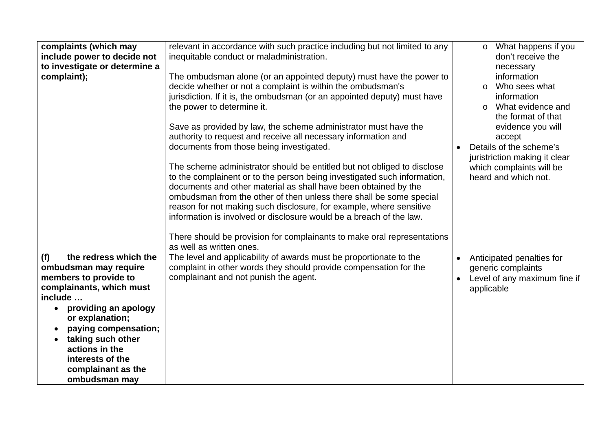| complaints (which may                                                                                                                                                                                                                                                                      | relevant in accordance with such practice including but not limited to any                                                                                                                                                                                                                                                                                                                                                                                                                                                                                                                                                                                                                                                                                                                                                                                                                                                                                                          | What happens if you<br>$\circ$                                                                                                                                                                                                                              |
|--------------------------------------------------------------------------------------------------------------------------------------------------------------------------------------------------------------------------------------------------------------------------------------------|-------------------------------------------------------------------------------------------------------------------------------------------------------------------------------------------------------------------------------------------------------------------------------------------------------------------------------------------------------------------------------------------------------------------------------------------------------------------------------------------------------------------------------------------------------------------------------------------------------------------------------------------------------------------------------------------------------------------------------------------------------------------------------------------------------------------------------------------------------------------------------------------------------------------------------------------------------------------------------------|-------------------------------------------------------------------------------------------------------------------------------------------------------------------------------------------------------------------------------------------------------------|
| include power to decide not                                                                                                                                                                                                                                                                | inequitable conduct or maladministration.                                                                                                                                                                                                                                                                                                                                                                                                                                                                                                                                                                                                                                                                                                                                                                                                                                                                                                                                           | don't receive the                                                                                                                                                                                                                                           |
| to investigate or determine a                                                                                                                                                                                                                                                              |                                                                                                                                                                                                                                                                                                                                                                                                                                                                                                                                                                                                                                                                                                                                                                                                                                                                                                                                                                                     | necessary                                                                                                                                                                                                                                                   |
| complaint);                                                                                                                                                                                                                                                                                | The ombudsman alone (or an appointed deputy) must have the power to<br>decide whether or not a complaint is within the ombudsman's<br>jurisdiction. If it is, the ombudsman (or an appointed deputy) must have<br>the power to determine it.<br>Save as provided by law, the scheme administrator must have the<br>authority to request and receive all necessary information and<br>documents from those being investigated.<br>The scheme administrator should be entitled but not obliged to disclose<br>to the complainent or to the person being investigated such information,<br>documents and other material as shall have been obtained by the<br>ombudsman from the other of then unless there shall be some special<br>reason for not making such disclosure, for example, where sensitive<br>information is involved or disclosure would be a breach of the law.<br>There should be provision for complainants to make oral representations<br>as well as written ones. | information<br>Who sees what<br>$\circ$<br>information<br>What evidence and<br>$\circ$<br>the format of that<br>evidence you will<br>accept<br>Details of the scheme's<br>juristriction making it clear<br>which complaints will be<br>heard and which not. |
| the redress which the<br>(f)<br>ombudsman may require<br>members to provide to<br>complainants, which must<br>include<br>providing an apology<br>or explanation;<br>paying compensation;<br>taking such other<br>actions in the<br>interests of the<br>complainant as the<br>ombudsman may | The level and applicability of awards must be proportionate to the<br>complaint in other words they should provide compensation for the<br>complainant and not punish the agent.                                                                                                                                                                                                                                                                                                                                                                                                                                                                                                                                                                                                                                                                                                                                                                                                    | Anticipated penalties for<br>$\bullet$<br>generic complaints<br>Level of any maximum fine if<br>applicable                                                                                                                                                  |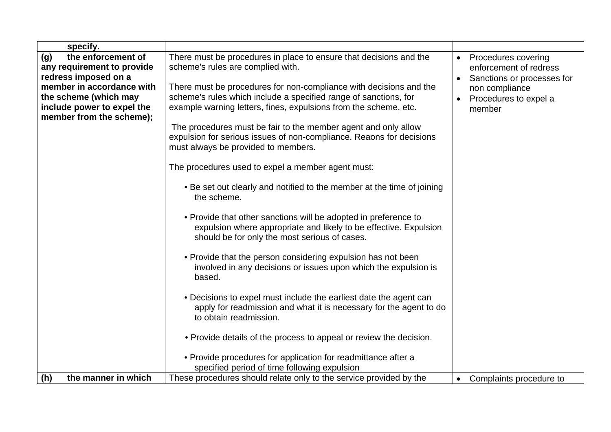| specify.                   |                                                                        |                                      |
|----------------------------|------------------------------------------------------------------------|--------------------------------------|
| the enforcement of<br>(g)  | There must be procedures in place to ensure that decisions and the     | Procedures covering<br>$\bullet$     |
| any requirement to provide | scheme's rules are complied with.                                      | enforcement of redress               |
| redress imposed on a       |                                                                        | Sanctions or processes for           |
| member in accordance with  | There must be procedures for non-compliance with decisions and the     | non compliance                       |
| the scheme (which may      | scheme's rules which include a specified range of sanctions, for       | Procedures to expel a                |
| include power to expel the | example warning letters, fines, expulsions from the scheme, etc.       | member                               |
| member from the scheme);   |                                                                        |                                      |
|                            | The procedures must be fair to the member agent and only allow         |                                      |
|                            | expulsion for serious issues of non-compliance. Reaons for decisions   |                                      |
|                            | must always be provided to members.                                    |                                      |
|                            |                                                                        |                                      |
|                            | The procedures used to expel a member agent must:                      |                                      |
|                            | . Be set out clearly and notified to the member at the time of joining |                                      |
|                            | the scheme.                                                            |                                      |
|                            |                                                                        |                                      |
|                            | • Provide that other sanctions will be adopted in preference to        |                                      |
|                            | expulsion where appropriate and likely to be effective. Expulsion      |                                      |
|                            | should be for only the most serious of cases.                          |                                      |
|                            |                                                                        |                                      |
|                            | • Provide that the person considering expulsion has not been           |                                      |
|                            | involved in any decisions or issues upon which the expulsion is        |                                      |
|                            | based.                                                                 |                                      |
|                            |                                                                        |                                      |
|                            | • Decisions to expel must include the earliest date the agent can      |                                      |
|                            | apply for readmission and what it is necessary for the agent to do     |                                      |
|                            | to obtain readmission.                                                 |                                      |
|                            |                                                                        |                                      |
|                            | • Provide details of the process to appeal or review the decision.     |                                      |
|                            | • Provide procedures for application for readmittance after a          |                                      |
|                            | specified period of time following expulsion                           |                                      |
| the manner in which<br>(h) | These procedures should relate only to the service provided by the     | Complaints procedure to<br>$\bullet$ |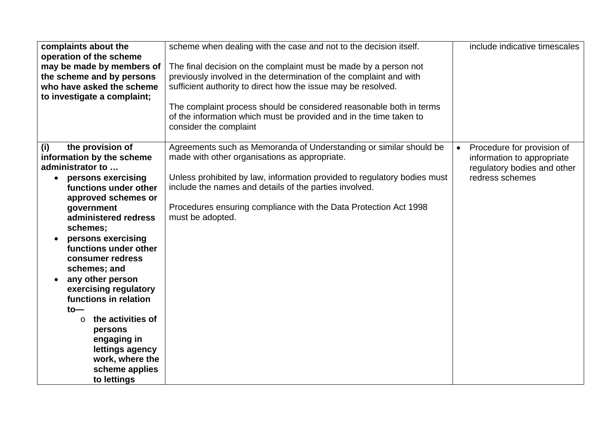| complaints about the<br>operation of the scheme<br>may be made by members of<br>the scheme and by persons<br>who have asked the scheme<br>to investigate a complaint;                                                                                                                                                                                                                                                                                                                                 | scheme when dealing with the case and not to the decision itself.<br>The final decision on the complaint must be made by a person not<br>previously involved in the determination of the complaint and with<br>sufficient authority to direct how the issue may be resolved.<br>The complaint process should be considered reasonable both in terms<br>of the information which must be provided and in the time taken to<br>consider the complaint | include indicative timescales                                                                                           |
|-------------------------------------------------------------------------------------------------------------------------------------------------------------------------------------------------------------------------------------------------------------------------------------------------------------------------------------------------------------------------------------------------------------------------------------------------------------------------------------------------------|-----------------------------------------------------------------------------------------------------------------------------------------------------------------------------------------------------------------------------------------------------------------------------------------------------------------------------------------------------------------------------------------------------------------------------------------------------|-------------------------------------------------------------------------------------------------------------------------|
| the provision of<br>(i)<br>information by the scheme<br>administrator to<br>• persons exercising<br>functions under other<br>approved schemes or<br>government<br>administered redress<br>schemes;<br>persons exercising<br>functions under other<br>consumer redress<br>schemes; and<br>any other person<br>exercising regulatory<br>functions in relation<br>$to-$<br>the activities of<br>$\circ$<br>persons<br>engaging in<br>lettings agency<br>work, where the<br>scheme applies<br>to lettings | Agreements such as Memoranda of Understanding or similar should be<br>made with other organisations as appropriate.<br>Unless prohibited by law, information provided to regulatory bodies must<br>include the names and details of the parties involved.<br>Procedures ensuring compliance with the Data Protection Act 1998<br>must be adopted.                                                                                                   | Procedure for provision of<br>$\bullet$<br>information to appropriate<br>regulatory bodies and other<br>redress schemes |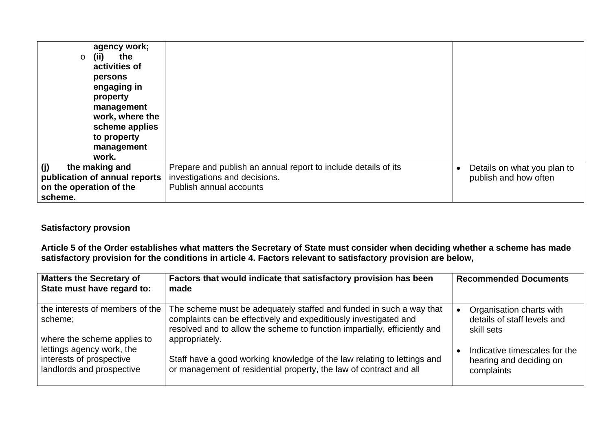| agency work;<br>the<br>(ii)<br>$\circ$<br>activities of<br>persons<br>engaging in<br>property<br>management<br>work, where the<br>scheme applies<br>to property<br>management<br>work. |                                                                                                                            |                                                      |
|----------------------------------------------------------------------------------------------------------------------------------------------------------------------------------------|----------------------------------------------------------------------------------------------------------------------------|------------------------------------------------------|
| the making and<br>(i)<br>publication of annual reports<br>on the operation of the<br>scheme.                                                                                           | Prepare and publish an annual report to include details of its<br>investigations and decisions.<br>Publish annual accounts | Details on what you plan to<br>publish and how often |

## **Satisfactory provsion**

**Article 5 of the Order establishes what matters the Secretary of State must consider when deciding whether a scheme has made satisfactory provision for the conditions in article 4. Factors relevant to satisfactory provision are below,** 

| <b>Matters the Secretary of</b><br>State must have regard to:                      | Factors that would indicate that satisfactory provision has been<br>made                                                                                                                                                               | <b>Recommended Documents</b>                                           |
|------------------------------------------------------------------------------------|----------------------------------------------------------------------------------------------------------------------------------------------------------------------------------------------------------------------------------------|------------------------------------------------------------------------|
| the interests of members of the<br>scheme;<br>where the scheme applies to          | The scheme must be adequately staffed and funded in such a way that<br>complaints can be effectively and expeditiously investigated and<br>resolved and to allow the scheme to function impartially, efficiently and<br>appropriately. | Organisation charts with<br>details of staff levels and<br>skill sets  |
| lettings agency work, the<br>interests of prospective<br>landlords and prospective | Staff have a good working knowledge of the law relating to lettings and<br>or management of residential property, the law of contract and all                                                                                          | Indicative timescales for the<br>hearing and deciding on<br>complaints |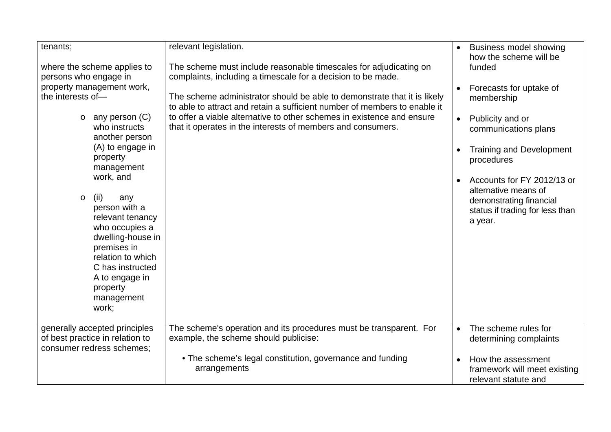| tenants;<br>where the scheme applies to<br>persons who engage in<br>property management work,<br>the interests of-<br>any person (C)<br>$\circ$<br>who instructs<br>another person<br>(A) to engage in<br>property<br>management<br>work, and<br>(ii)<br>any<br>$\circ$<br>person with a<br>relevant tenancy<br>who occupies a | relevant legislation.<br>The scheme must include reasonable timescales for adjudicating on<br>complaints, including a timescale for a decision to be made.<br>The scheme administrator should be able to demonstrate that it is likely<br>to able to attract and retain a sufficient number of members to enable it<br>to offer a viable alternative to other schemes in existence and ensure<br>that it operates in the interests of members and consumers. | $\bullet$<br>$\bullet$<br>$\bullet$<br>$\bullet$ | <b>Business model showing</b><br>how the scheme will be<br>funded<br>Forecasts for uptake of<br>membership<br>Publicity and or<br>communications plans<br><b>Training and Development</b><br>procedures<br>Accounts for FY 2012/13 or<br>alternative means of<br>demonstrating financial<br>status if trading for less than<br>a year. |
|--------------------------------------------------------------------------------------------------------------------------------------------------------------------------------------------------------------------------------------------------------------------------------------------------------------------------------|--------------------------------------------------------------------------------------------------------------------------------------------------------------------------------------------------------------------------------------------------------------------------------------------------------------------------------------------------------------------------------------------------------------------------------------------------------------|--------------------------------------------------|----------------------------------------------------------------------------------------------------------------------------------------------------------------------------------------------------------------------------------------------------------------------------------------------------------------------------------------|
| relation to which<br>C has instructed<br>A to engage in<br>property<br>management<br>work;                                                                                                                                                                                                                                     |                                                                                                                                                                                                                                                                                                                                                                                                                                                              |                                                  |                                                                                                                                                                                                                                                                                                                                        |
| generally accepted principles                                                                                                                                                                                                                                                                                                  | The scheme's operation and its procedures must be transparent. For                                                                                                                                                                                                                                                                                                                                                                                           | $\bullet$                                        | The scheme rules for                                                                                                                                                                                                                                                                                                                   |
| of best practice in relation to                                                                                                                                                                                                                                                                                                | example, the scheme should publicise:                                                                                                                                                                                                                                                                                                                                                                                                                        |                                                  | determining complaints                                                                                                                                                                                                                                                                                                                 |
| consumer redress schemes;                                                                                                                                                                                                                                                                                                      |                                                                                                                                                                                                                                                                                                                                                                                                                                                              |                                                  |                                                                                                                                                                                                                                                                                                                                        |
|                                                                                                                                                                                                                                                                                                                                | • The scheme's legal constitution, governance and funding<br>arrangements                                                                                                                                                                                                                                                                                                                                                                                    | $\bullet$                                        | How the assessment<br>framework will meet existing<br>relevant statute and                                                                                                                                                                                                                                                             |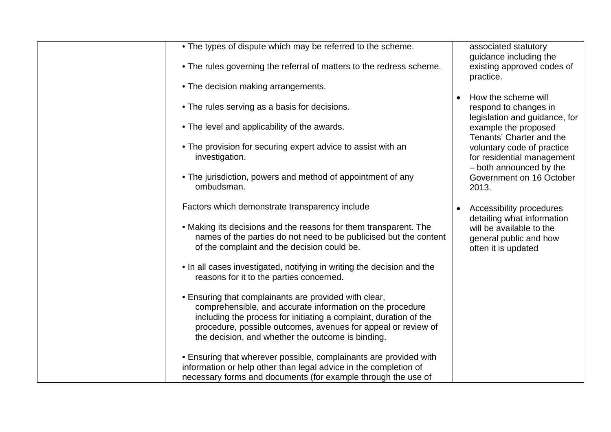| • The types of dispute which may be referred to the scheme.                                                                                                                                                                                                                                                   | associated statutory<br>guidance including the                            |
|---------------------------------------------------------------------------------------------------------------------------------------------------------------------------------------------------------------------------------------------------------------------------------------------------------------|---------------------------------------------------------------------------|
| • The rules governing the referral of matters to the redress scheme.                                                                                                                                                                                                                                          | existing approved codes of<br>practice.                                   |
| • The decision making arrangements.                                                                                                                                                                                                                                                                           |                                                                           |
|                                                                                                                                                                                                                                                                                                               | How the scheme will                                                       |
| • The rules serving as a basis for decisions.                                                                                                                                                                                                                                                                 | respond to changes in<br>legislation and guidance, for                    |
| • The level and applicability of the awards.                                                                                                                                                                                                                                                                  | example the proposed<br>Tenants' Charter and the                          |
| • The provision for securing expert advice to assist with an<br>investigation.                                                                                                                                                                                                                                | voluntary code of practice<br>for residential management                  |
| • The jurisdiction, powers and method of appointment of any<br>ombudsman.                                                                                                                                                                                                                                     | - both announced by the<br>Government on 16 October<br>2013.              |
| Factors which demonstrate transparency include                                                                                                                                                                                                                                                                | Accessibility procedures<br>$\bullet$<br>detailing what information       |
| • Making its decisions and the reasons for them transparent. The<br>names of the parties do not need to be publicised but the content<br>of the complaint and the decision could be.                                                                                                                          | will be available to the<br>general public and how<br>often it is updated |
| . In all cases investigated, notifying in writing the decision and the<br>reasons for it to the parties concerned.                                                                                                                                                                                            |                                                                           |
| . Ensuring that complainants are provided with clear,<br>comprehensible, and accurate information on the procedure<br>including the process for initiating a complaint, duration of the<br>procedure, possible outcomes, avenues for appeal or review of<br>the decision, and whether the outcome is binding. |                                                                           |
| • Ensuring that wherever possible, complainants are provided with                                                                                                                                                                                                                                             |                                                                           |
| information or help other than legal advice in the completion of<br>necessary forms and documents (for example through the use of                                                                                                                                                                             |                                                                           |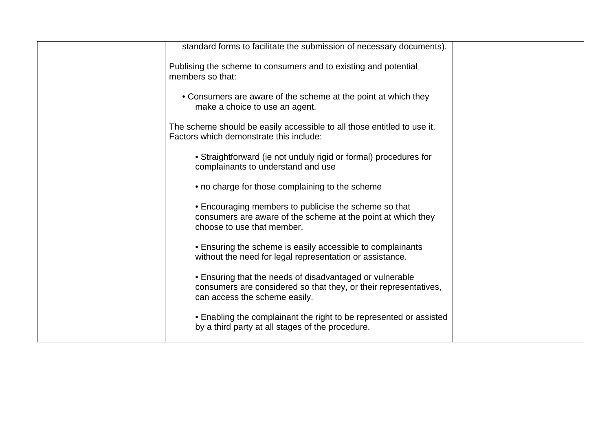| standard forms to facilitate the submission of necessary documents).                                                                                          |  |
|---------------------------------------------------------------------------------------------------------------------------------------------------------------|--|
| Publising the scheme to consumers and to existing and potential<br>members so that:                                                                           |  |
| • Consumers are aware of the scheme at the point at which they<br>make a choice to use an agent.                                                              |  |
| The scheme should be easily accessible to all those entitled to use it.<br>Factors which demonstrate this include:                                            |  |
| • Straightforward (ie not unduly rigid or formal) procedures for<br>complainants to understand and use                                                        |  |
| • no charge for those complaining to the scheme                                                                                                               |  |
| • Encouraging members to publicise the scheme so that<br>consumers are aware of the scheme at the point at which they<br>choose to use that member.           |  |
| • Ensuring the scheme is easily accessible to complainants<br>without the need for legal representation or assistance.                                        |  |
| • Ensuring that the needs of disadvantaged or vulnerable<br>consumers are considered so that they, or their representatives,<br>can access the scheme easily. |  |
| • Enabling the complainant the right to be represented or assisted<br>by a third party at all stages of the procedure.                                        |  |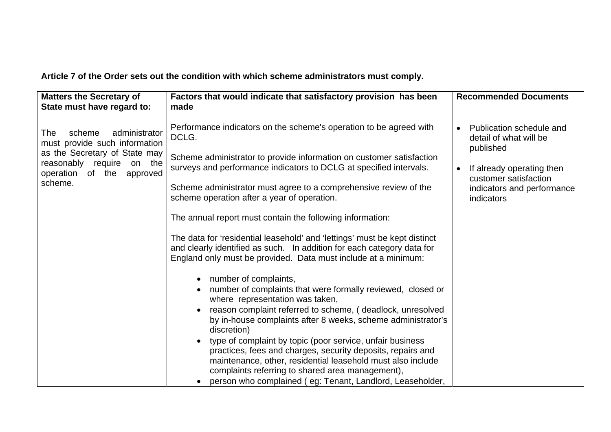**Article 7 of the Order sets out the condition with which scheme administrators must comply.** 

| <b>Matters the Secretary of</b><br>State must have regard to:                                                                                                                   | Factors that would indicate that satisfactory provision has been<br>made                                                                                                                                                                                                                                                                                                                                                                                                                                                                                                                                                                                                                                                                                                                                                                                                                                                                                                                                                                                                                                                                                                                                                 | <b>Recommended Documents</b>                                                                                                                                      |
|---------------------------------------------------------------------------------------------------------------------------------------------------------------------------------|--------------------------------------------------------------------------------------------------------------------------------------------------------------------------------------------------------------------------------------------------------------------------------------------------------------------------------------------------------------------------------------------------------------------------------------------------------------------------------------------------------------------------------------------------------------------------------------------------------------------------------------------------------------------------------------------------------------------------------------------------------------------------------------------------------------------------------------------------------------------------------------------------------------------------------------------------------------------------------------------------------------------------------------------------------------------------------------------------------------------------------------------------------------------------------------------------------------------------|-------------------------------------------------------------------------------------------------------------------------------------------------------------------|
| scheme<br>administrator<br><b>The</b><br>must provide such information<br>as the Secretary of State may<br>reasonably require on the<br>operation of the<br>approved<br>scheme. | Performance indicators on the scheme's operation to be agreed with<br>DCLG.<br>Scheme administrator to provide information on customer satisfaction<br>surveys and performance indicators to DCLG at specified intervals.<br>Scheme administrator must agree to a comprehensive review of the<br>scheme operation after a year of operation.<br>The annual report must contain the following information:<br>The data for 'residential leasehold' and 'lettings' must be kept distinct<br>and clearly identified as such. In addition for each category data for<br>England only must be provided. Data must include at a minimum:<br>• number of complaints,<br>number of complaints that were formally reviewed, closed or<br>where representation was taken,<br>reason complaint referred to scheme, (deadlock, unresolved<br>by in-house complaints after 8 weeks, scheme administrator's<br>discretion)<br>type of complaint by topic (poor service, unfair business<br>practices, fees and charges, security deposits, repairs and<br>maintenance, other, residential leasehold must also include<br>complaints referring to shared area management),<br>person who complained (eg: Tenant, Landlord, Leaseholder, | Publication schedule and<br>detail of what will be<br>published<br>If already operating then<br>customer satisfaction<br>indicators and performance<br>indicators |